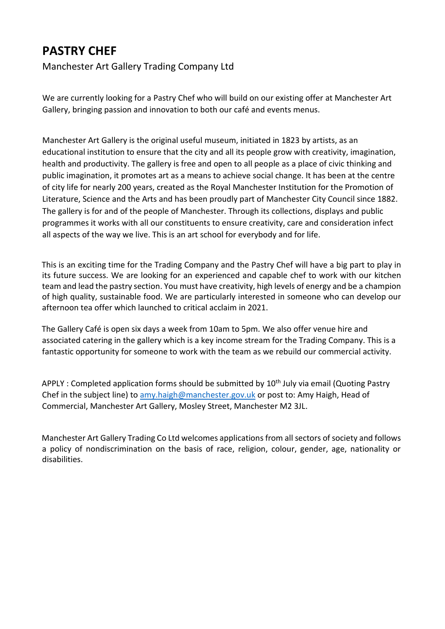## **PASTRY CHEF**

Manchester Art Gallery Trading Company Ltd

We are currently looking for a Pastry Chef who will build on our existing offer at Manchester Art Gallery, bringing passion and innovation to both our café and events menus.

Manchester Art Gallery is the original useful museum, initiated in 1823 by artists, as an educational institution to ensure that the city and all its people grow with creativity, imagination, health and productivity. The gallery is free and open to all people as a place of civic thinking and public imagination, it promotes art as a means to achieve social change. It has been at the centre of city life for nearly 200 years, created as the Royal Manchester Institution for the Promotion of Literature, Science and the Arts and has been proudly part of Manchester City Council since 1882. The gallery is for and of the people of Manchester. Through its collections, displays and public programmes it works with all our constituents to ensure creativity, care and consideration infect all aspects of the way we live. This is an art school for everybody and for life.

This is an exciting time for the Trading Company and the Pastry Chef will have a big part to play in its future success. We are looking for an experienced and capable chef to work with our kitchen team and lead the pastry section. You must have creativity, high levels of energy and be a champion of high quality, sustainable food. We are particularly interested in someone who can develop our afternoon tea offer which launched to critical acclaim in 2021.

The Gallery Café is open six days a week from 10am to 5pm. We also offer venue hire and associated catering in the gallery which is a key income stream for the Trading Company. This is a fantastic opportunity for someone to work with the team as we rebuild our commercial activity.

APPLY : Completed application forms should be submitted by  $10<sup>th</sup>$  July via email (Quoting Pastry Chef in the subject line) to [amy.haigh@manchester.gov.uk](mailto:amy.haigh@manchester.gov.uk) or post to: Amy Haigh, Head of Commercial, Manchester Art Gallery, Mosley Street, Manchester M2 3JL.

Manchester Art Gallery Trading Co Ltd welcomes applications from all sectors of society and follows a policy of nondiscrimination on the basis of race, religion, colour, gender, age, nationality or disabilities.